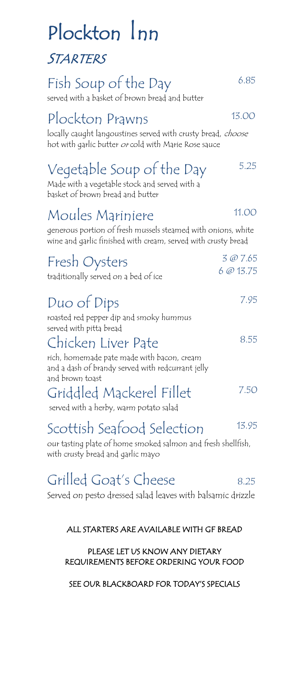# Plockton Inn STARTERS

# Fish Soup of the Day 6.85

served with a basket of brown bread and butter

### Plockton Prawns 13.00

locally caught langoustines served with crusty bread, choose hot with garlic butter or cold with Marie Rose sauce

## Vegetable Soup of the Day 5.25

Made with a vegetable stock and served with a basket of brown bread and butter

### Moules Mariniere 11.00

generous portion of fresh mussels steamed with onions, white wine and garlic finished with cream, served with crusty bread

| Fresh Oysters<br>traditionally served on a bed of ice              | 3 @ 7.65<br>6@13.75 |
|--------------------------------------------------------------------|---------------------|
| Duo of Dips                                                        | 7.95                |
| roasted red pepper dip and smoky hummus<br>served with pitta bread |                     |

### Chicken Liver Pate

rich, homemade pate made with bacon, cream and a dash of brandy served with redcurrant jelly and brown toast

Griddled Mackerel Fillet 7.50

served with a herby, warm potato salad

## Scottish Seafood Selection 13.95

our tasting plate of home smoked salmon and fresh shellfish, with crusty bread and garlic mayo

## Grilled Goat's Cheese 8.25

Served on pesto dressed salad leaves with balsamic drizzle

### ALL STARTERS ARE AVAILABLE WITH GF BREAD

#### PLEASE LET US KNOW ANY DIETARY REQUIREMENTS BEFORE ORDERING YOUR FOOD

SEE OUR BLACKBOARD FOR TODAY'S SPECIALS

8.55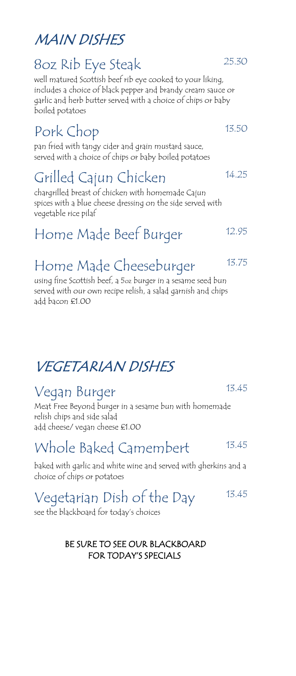## MAIN DISHES

### 8oz Rib Eye Steak 25.30

well matured Scottish beef rib eye cooked to your liking, includes a choice of black pepper and brandy cream sauce or garlic and herb butter served with a choice of chips or baby boiled potatoes

## Pork Chop 13.50

pan fried with tangy cider and grain mustard sauce, served with a choice of chips or baby boiled potatoes

# Grilled Cajun Chicken 14.25

chargrilled breast of chicken with homemade Cajun spices with a blue cheese dressing on the side served with vegetable rice pilaf

## Home Made Beef Burger 12.95

## Home Made Cheeseburger 13.75

using fine Scottish beef, a 5oz burger in a sesame seed bun served with our own recipe relish, a salad garnish and chips add bacon £1.00

## VEGETARIAN DISHES

## Vegan Burger 13.45

Meat Free Beyond burger in a sesame bun with homemade relish chips and side salad add cheese/ vegan cheese £1.00

## Whole Baked Camembert 13.45

baked with garlic and white wine and served with gherkins and a choice of chips or potatoes

# Vegetarian Dish of the Day 13.45

see the blackboard for today's choices

### BE SURE TO SEE OUR BLACKBOARD FOR TODAY'S SPECIALS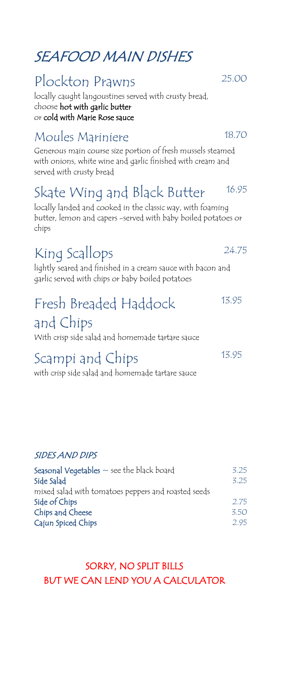### SEAFOOD MAIN DISHES

### Plockton Prawns 25.00

locally caught langoustines served with crusty bread, choose hot with garlic butter or cold with Marie Rose sauce

### Moules Mariniere 18.70

Generous main course size portion of fresh mussels steamed with onions, white wine and garlic finished with cream and served with crusty bread

### Skate Wing and Black Butter 16.95

locally landed and cooked in the classic way, with foaming butter, lemon and capers -served with baby boiled potatoes or chips

### King Scallops 24.75

lightly seared and finished in a cream sauce with bacon and garlic served with chips or baby boiled potatoes

#### Fresh Breaded Haddock and Chips 13.95

With crisp side salad and homemade tartare sauce

### Scampi and Chips 13.95

with crisp side salad and homemade tartare sauce

### SIDES AND DIPS

| <b>Seasonal Vegetables</b> $\sim$ see the black board | 3.25 |
|-------------------------------------------------------|------|
| Side Salad                                            | 3.25 |
| mixed salad with tomatoes peppers and roasted seeds   |      |
| Side of Chips                                         | 2.75 |
| Chips and Cheese                                      | 3.50 |
| Cajun Spiced Chips                                    | 2.95 |
|                                                       |      |

### SORRY, NO SPLIT BILLS BUT WE CAN LEND YOU A CALCULATOR